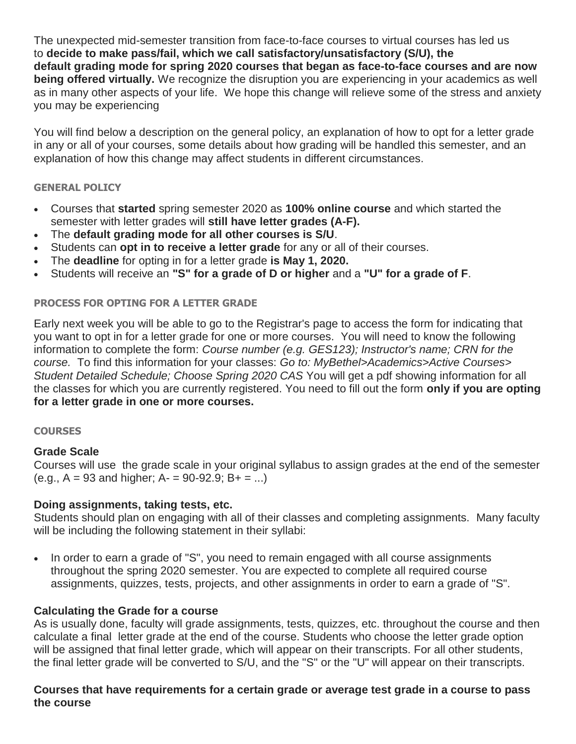The unexpected mid-semester transition from face-to-face courses to virtual courses has led us to **decide to make pass/fail, which we call satisfactory/unsatisfactory (S/U), the default grading mode for spring 2020 courses that began as face-to-face courses and are now being offered virtually.** We recognize the disruption you are experiencing in your academics as well as in many other aspects of your life. We hope this change will relieve some of the stress and anxiety you may be experiencing

You will find below a description on the general policy, an explanation of how to opt for a letter grade in any or all of your courses, some details about how grading will be handled this semester, and an explanation of how this change may affect students in different circumstances.

### **GENERAL POLICY**

- Courses that **started** spring semester 2020 as **100% online course** and which started the semester with letter grades will **still have letter grades (A-F).**
- The **default grading mode for all other courses is S/U**.
- Students can **opt in to receive a letter grade** for any or all of their courses.
- The **deadline** for opting in for a letter grade **is May 1, 2020.**
- Students will receive an **"S" for a grade of D or higher** and a **"U" for a grade of F**.

### **PROCESS FOR OPTING FOR A LETTER GRADE**

Early next week you will be able to go to the Registrar's page to access the form for indicating that you want to opt in for a letter grade for one or more courses. You will need to know the following information to complete the form: *Course number (e.g. GES123); Instructor's name; CRN for the course.* To find this information for your classes: *Go to: MyBethel>Academics>Active Courses> Student Detailed Schedule; Choose Spring 2020 CAS* You will get a pdf showing information for all the classes for which you are currently registered. You need to fill out the form **only if you are opting for a letter grade in one or more courses.**

#### **COURSES**

#### **Grade Scale**

Courses will use the grade scale in your original syllabus to assign grades at the end of the semester  $(e.g., A = 93$  and higher;  $A = 90-92.9$ ;  $B = ...$ )

#### **Doing assignments, taking tests, etc.**

Students should plan on engaging with all of their classes and completing assignments. Many faculty will be including the following statement in their syllabi:

• In order to earn a grade of "S", you need to remain engaged with all course assignments throughout the spring 2020 semester. You are expected to complete all required course assignments, quizzes, tests, projects, and other assignments in order to earn a grade of "S".

# **Calculating the Grade for a course**

As is usually done, faculty will grade assignments, tests, quizzes, etc. throughout the course and then calculate a final letter grade at the end of the course. Students who choose the letter grade option will be assigned that final letter grade, which will appear on their transcripts. For all other students, the final letter grade will be converted to S/U, and the "S" or the "U" will appear on their transcripts.

### **Courses that have requirements for a certain grade or average test grade in a course to pass the course**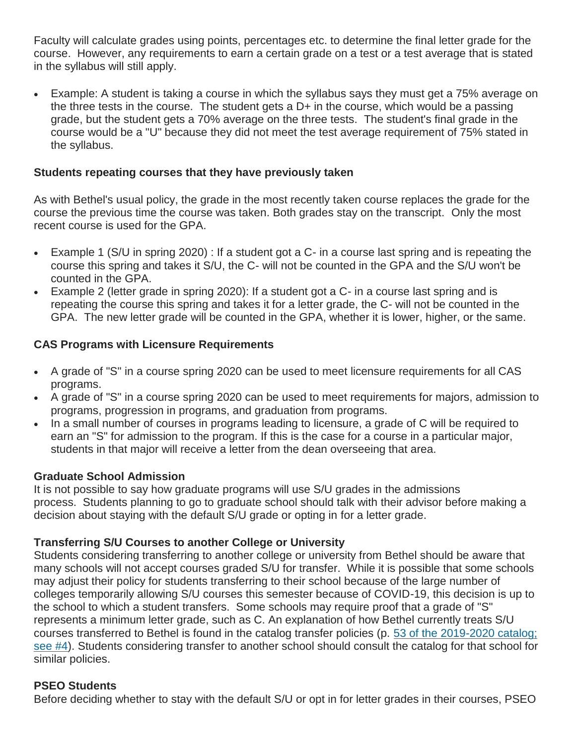Faculty will calculate grades using points, percentages etc. to determine the final letter grade for the course. However, any requirements to earn a certain grade on a test or a test average that is stated in the syllabus will still apply.

• Example: A student is taking a course in which the syllabus says they must get a 75% average on the three tests in the course. The student gets a  $D+$  in the course, which would be a passing grade, but the student gets a 70% average on the three tests. The student's final grade in the course would be a "U" because they did not meet the test average requirement of 75% stated in the syllabus.

### **Students repeating courses that they have previously taken**

As with Bethel's usual policy, the grade in the most recently taken course replaces the grade for the course the previous time the course was taken. Both grades stay on the transcript. Only the most recent course is used for the GPA.

- Example 1 (S/U in spring 2020) : If a student got a C- in a course last spring and is repeating the course this spring and takes it S/U, the C- will not be counted in the GPA and the S/U won't be counted in the GPA.
- Example 2 (letter grade in spring 2020): If a student got a C- in a course last spring and is repeating the course this spring and takes it for a letter grade, the C- will not be counted in the GPA. The new letter grade will be counted in the GPA, whether it is lower, higher, or the same.

# **CAS Programs with Licensure Requirements**

- A grade of "S" in a course spring 2020 can be used to meet licensure requirements for all CAS programs.
- A grade of "S" in a course spring 2020 can be used to meet requirements for majors, admission to programs, progression in programs, and graduation from programs.
- In a small number of courses in programs leading to licensure, a grade of C will be required to earn an "S" for admission to the program. If this is the case for a course in a particular major, students in that major will receive a letter from the dean overseeing that area.

# **Graduate School Admission**

It is not possible to say how graduate programs will use S/U grades in the admissions process. Students planning to go to graduate school should talk with their advisor before making a decision about staying with the default S/U grade or opting in for a letter grade.

# **Transferring S/U Courses to another College or University**

Students considering transferring to another college or university from Bethel should be aware that many schools will not accept courses graded S/U for transfer. While it is possible that some schools may adjust their policy for students transferring to their school because of the large number of colleges temporarily allowing S/U courses this semester because of COVID-19, this decision is up to the school to which a student transfers. Some schools may require proof that a grade of "S" represents a minimum letter grade, such as C. An explanation of how Bethel currently treats S/U courses transferred to Bethel is found in the catalog transfer policies (p. [53 of the 2019-2020 catalog;](https://delivery.bethel.edu/t/r-i-jhhthrkk-l-r/)  [see #4\)](https://delivery.bethel.edu/t/r-i-jhhthrkk-l-r/). Students considering transfer to another school should consult the catalog for that school for similar policies.

# **PSEO Students**

Before deciding whether to stay with the default S/U or opt in for letter grades in their courses, PSEO